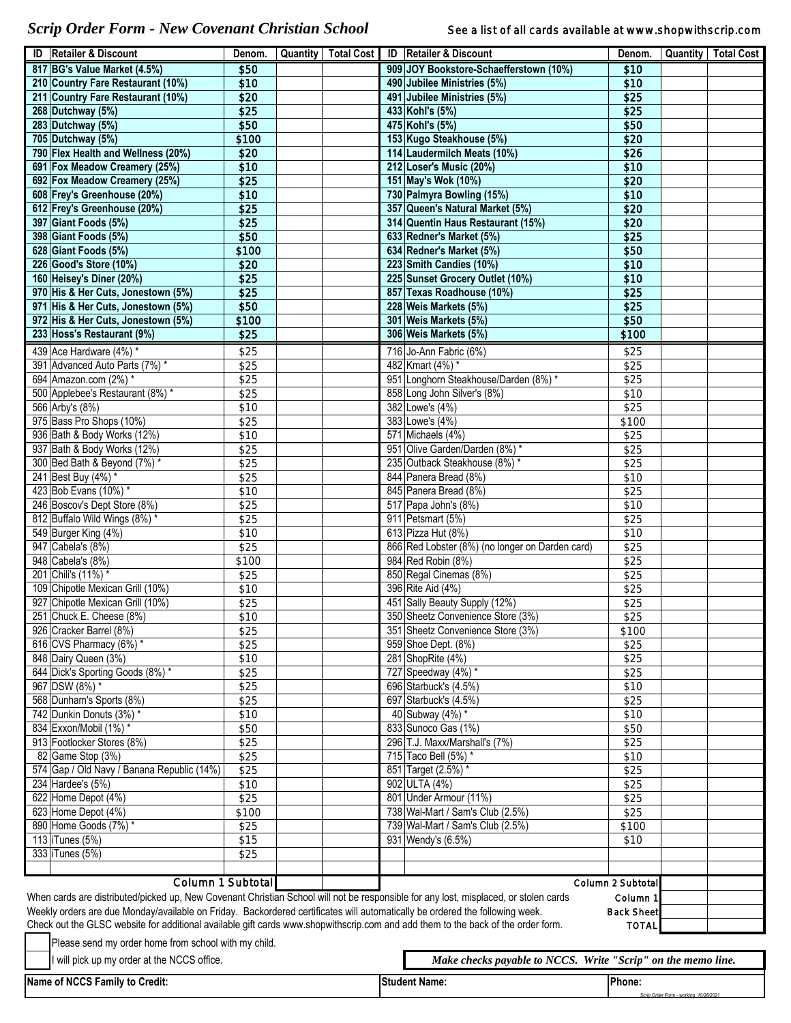*Scrip Order Form - New Covenant Christian School* See a list of all cards available at www.shopwithscrip.com

ī

*Scrip Order Form - working 10/26/2021*

|                                                                                                                                                                                | <b>ID</b>   Retailer & Discount            | Denom. |  |  |  | Quantity   Total Cost   ID   Retailer & Discount | Denom.   |  | Quantity   Total Cost |  |
|--------------------------------------------------------------------------------------------------------------------------------------------------------------------------------|--------------------------------------------|--------|--|--|--|--------------------------------------------------|----------|--|-----------------------|--|
|                                                                                                                                                                                | 817 BG's Value Market (4.5%)               | \$50   |  |  |  | 909 JOY Bookstore-Schaefferstown (10%)           | \$10     |  |                       |  |
|                                                                                                                                                                                | 210 Country Fare Restaurant (10%)          | \$10   |  |  |  | 490 Jubilee Ministries (5%)                      | \$10     |  |                       |  |
|                                                                                                                                                                                | 211 Country Fare Restaurant (10%)          | \$20   |  |  |  | 491 Jubilee Ministries (5%)                      | \$25     |  |                       |  |
|                                                                                                                                                                                | 268 Dutchway (5%)                          | \$25   |  |  |  | 433 Kohl's (5%)                                  | \$25     |  |                       |  |
|                                                                                                                                                                                | 283 Dutchway (5%)                          | \$50   |  |  |  | 475 Kohl's (5%)                                  | \$50     |  |                       |  |
|                                                                                                                                                                                | 705 Dutchway (5%)                          | \$100  |  |  |  | 153 Kugo Steakhouse (5%)                         | \$20     |  |                       |  |
|                                                                                                                                                                                | 790 Flex Health and Wellness (20%)         | \$20   |  |  |  | 114 Laudermilch Meats (10%)                      | \$26     |  |                       |  |
|                                                                                                                                                                                | 691 Fox Meadow Creamery (25%)              | \$10   |  |  |  | 212 Loser's Music (20%)                          | \$10     |  |                       |  |
|                                                                                                                                                                                | 692 Fox Meadow Creamery (25%)              | \$25   |  |  |  | 151 May's Wok (10%)                              | \$20     |  |                       |  |
|                                                                                                                                                                                | 608 Frey's Greenhouse (20%)                | \$10   |  |  |  | 730 Palmyra Bowling (15%)                        | \$10     |  |                       |  |
|                                                                                                                                                                                | 612 Frey's Greenhouse (20%)                | \$25   |  |  |  | 357 Queen's Natural Market (5%)                  | \$20     |  |                       |  |
|                                                                                                                                                                                | 397 Giant Foods (5%)                       | \$25   |  |  |  | 314 Quentin Haus Restaurant (15%)                | \$20     |  |                       |  |
|                                                                                                                                                                                | 398 Giant Foods (5%)                       | \$50   |  |  |  | 633 Redner's Market (5%)                         | \$25     |  |                       |  |
|                                                                                                                                                                                | 628 Giant Foods (5%)                       | \$100  |  |  |  | 634 Redner's Market (5%)                         | \$50     |  |                       |  |
|                                                                                                                                                                                | 226 Good's Store (10%)                     | \$20   |  |  |  | 223 Smith Candies (10%)                          | \$10     |  |                       |  |
|                                                                                                                                                                                | 160 Heisey's Diner (20%)                   | \$25   |  |  |  | 225 Sunset Grocery Outlet (10%)                  | \$10     |  |                       |  |
|                                                                                                                                                                                | 970 His & Her Cuts, Jonestown (5%)         | \$25   |  |  |  | 857 Texas Roadhouse (10%)                        | \$25     |  |                       |  |
|                                                                                                                                                                                | 971 His & Her Cuts, Jonestown (5%)         | \$50   |  |  |  | 228 Weis Markets (5%)                            | \$25     |  |                       |  |
|                                                                                                                                                                                | 972 His & Her Cuts, Jonestown (5%)         | \$100  |  |  |  | 301 Weis Markets (5%)                            | \$50     |  |                       |  |
|                                                                                                                                                                                |                                            |        |  |  |  |                                                  |          |  |                       |  |
|                                                                                                                                                                                | 233 Hoss's Restaurant (9%)                 | \$25   |  |  |  | 306 Weis Markets (5%)                            | \$100    |  |                       |  |
|                                                                                                                                                                                | 439 Ace Hardware (4%) *                    | \$25   |  |  |  | 716 Jo-Ann Fabric (6%)                           | \$25     |  |                       |  |
|                                                                                                                                                                                | 391 Advanced Auto Parts (7%) *             | \$25   |  |  |  | 482 Kmart (4%) *                                 | \$25     |  |                       |  |
|                                                                                                                                                                                | 694 Amazon.com (2%) *                      | \$25   |  |  |  | 951 Longhorn Steakhouse/Darden (8%) *            | \$25     |  |                       |  |
|                                                                                                                                                                                | 500 Applebee's Restaurant (8%) *           | \$25   |  |  |  | 858 Long John Silver's (8%)                      | \$10     |  |                       |  |
|                                                                                                                                                                                | 566 Arby's (8%)                            | \$10   |  |  |  | 382 Lowe's (4%)                                  | \$25     |  |                       |  |
|                                                                                                                                                                                | 975 Bass Pro Shops (10%)                   | \$25   |  |  |  | 383 Lowe's (4%)                                  | \$100    |  |                       |  |
|                                                                                                                                                                                | 936 Bath & Body Works (12%)                | \$10   |  |  |  | 571 Michaels (4%)                                | \$25     |  |                       |  |
|                                                                                                                                                                                | 937 Bath & Body Works (12%)                | \$25   |  |  |  | 951 Olive Garden/Darden (8%) *                   | \$25     |  |                       |  |
|                                                                                                                                                                                | 300 Bed Bath & Beyond (7%) *               | \$25   |  |  |  | 235 Outback Steakhouse (8%) *                    | \$25     |  |                       |  |
|                                                                                                                                                                                | 241 Best Buy (4%) *                        | \$25   |  |  |  | 844 Panera Bread (8%)                            | \$10     |  |                       |  |
|                                                                                                                                                                                | 423 Bob Evans (10%) *                      | \$10   |  |  |  | 845 Panera Bread (8%)                            | \$25     |  |                       |  |
|                                                                                                                                                                                | 246 Boscov's Dept Store (8%)               | \$25   |  |  |  | 517 Papa John's (8%)                             | \$10     |  |                       |  |
|                                                                                                                                                                                | 812 Buffalo Wild Wings (8%) *              | \$25   |  |  |  | 911 Petsmart (5%)                                | \$25     |  |                       |  |
|                                                                                                                                                                                | 549 Burger King (4%)                       |        |  |  |  | 613 Pizza Hut (8%)                               | \$10     |  |                       |  |
|                                                                                                                                                                                |                                            | \$10   |  |  |  |                                                  |          |  |                       |  |
|                                                                                                                                                                                | 947 Cabela's (8%)                          | \$25   |  |  |  | 866 Red Lobster (8%) (no longer on Darden card)  | \$25     |  |                       |  |
|                                                                                                                                                                                | 948 Cabela's (8%)                          | \$100  |  |  |  | 984 Red Robin (8%)                               | \$25     |  |                       |  |
|                                                                                                                                                                                | 201 Chili's (11%) *                        | \$25   |  |  |  | 850 Regal Cinemas (8%)                           | \$25     |  |                       |  |
|                                                                                                                                                                                | 109 Chipotle Mexican Grill (10%)           | \$10   |  |  |  | 396 Rite Aid (4%)                                | \$25     |  |                       |  |
|                                                                                                                                                                                | 927 Chipotle Mexican Grill (10%)           | \$25   |  |  |  | 451 Sally Beauty Supply (12%)                    | \$25     |  |                       |  |
|                                                                                                                                                                                | 251 Chuck E. Cheese (8%)                   | \$10   |  |  |  | 350 Sheetz Convenience Store (3%)                | \$25     |  |                       |  |
|                                                                                                                                                                                | 926 Cracker Barrel (8%)                    | \$25   |  |  |  | 351 Sheetz Convenience Store (3%)                | \$100    |  |                       |  |
|                                                                                                                                                                                | 616 CVS Pharmacy (6%) *                    | \$25   |  |  |  | 959 Shoe Dept. (8%)                              | \$25     |  |                       |  |
|                                                                                                                                                                                | 848 Dairy Queen (3%)                       | \$10   |  |  |  | 281 ShopRite (4%)                                | \$25     |  |                       |  |
|                                                                                                                                                                                | 644 Dick's Sporting Goods (8%) *           | \$25   |  |  |  | 727 Speedway (4%) *                              | \$25     |  |                       |  |
|                                                                                                                                                                                | 967 DSW (8%) *                             | \$25   |  |  |  | 696 Starbuck's (4.5%)                            | \$10     |  |                       |  |
|                                                                                                                                                                                | 568 Dunham's Sports (8%)                   | \$25   |  |  |  | 697 Starbuck's (4.5%)                            | \$25     |  |                       |  |
|                                                                                                                                                                                | 742 Dunkin Donuts (3%) *                   | \$10   |  |  |  | 40 Subway (4%) *                                 | \$10     |  |                       |  |
|                                                                                                                                                                                | 834 Exxon/Mobil (1%) *                     | \$50   |  |  |  | 833 Sunoco Gas (1%)                              | \$50     |  |                       |  |
|                                                                                                                                                                                | 913 Footlocker Stores (8%)                 | \$25   |  |  |  | 296 T.J. Maxx/Marshall's (7%)                    | \$25     |  |                       |  |
|                                                                                                                                                                                | 82 Game Stop (3%)                          | \$25   |  |  |  | 715 Taco Bell (5%) *                             | \$10     |  |                       |  |
|                                                                                                                                                                                | 574 Gap / Old Navy / Banana Republic (14%) | \$25   |  |  |  | 851 Target (2.5%) *                              | \$25     |  |                       |  |
|                                                                                                                                                                                | 234 Hardee's (5%)                          | \$10   |  |  |  | 902 ULTA (4%)                                    | \$25     |  |                       |  |
|                                                                                                                                                                                | 622 Home Depot (4%)                        | \$25   |  |  |  | 801 Under Armour (11%)                           | \$25     |  |                       |  |
|                                                                                                                                                                                | $623$ Home Depot $(4%)$                    | \$100  |  |  |  | 738 Wal-Mart / Sam's Club (2.5%)                 | \$25     |  |                       |  |
|                                                                                                                                                                                | 890 Home Goods (7%) *                      | \$25   |  |  |  | 739 Wal-Mart / Sam's Club (2.5%)                 | \$100    |  |                       |  |
|                                                                                                                                                                                | 113 iTunes (5%)                            | \$15   |  |  |  | 931 Wendy's (6.5%)                               | \$10     |  |                       |  |
|                                                                                                                                                                                | 333 iTunes (5%)                            | \$25   |  |  |  |                                                  |          |  |                       |  |
|                                                                                                                                                                                |                                            |        |  |  |  |                                                  |          |  |                       |  |
|                                                                                                                                                                                |                                            |        |  |  |  |                                                  |          |  |                       |  |
| Column 1 Subtotal<br>Column 2 Subtotal<br>When cards are distributed/picked up, New Covenant Christian School will not be responsible for any lost, misplaced, or stolen cards |                                            |        |  |  |  |                                                  |          |  |                       |  |
|                                                                                                                                                                                |                                            |        |  |  |  |                                                  | Column 1 |  |                       |  |
| Weekly orders are due Monday/available on Friday. Backordered certificates will automatically be ordered the following week.<br><b>Back Sheet</b>                              |                                            |        |  |  |  |                                                  |          |  |                       |  |
| Check out the GLSC website for additional available gift cards www.shopwithscrip.com and add them to the back of the order form.<br><b>TOTAL</b>                               |                                            |        |  |  |  |                                                  |          |  |                       |  |
| Please send my order home from school with my child.                                                                                                                           |                                            |        |  |  |  |                                                  |          |  |                       |  |
| I will pick up my order at the NCCS office.<br>Make checks payable to NCCS. Write "Scrip" on the memo line.                                                                    |                                            |        |  |  |  |                                                  |          |  |                       |  |
|                                                                                                                                                                                |                                            |        |  |  |  |                                                  |          |  |                       |  |
|                                                                                                                                                                                | Name of NCCS Family to Credit:             |        |  |  |  | <b>Student Name:</b>                             | Phone:   |  |                       |  |